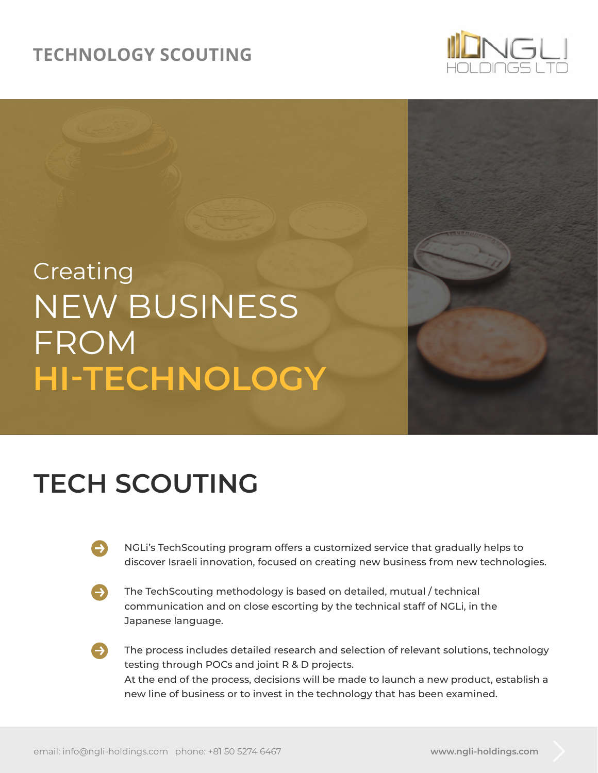### **TECHNOLOGY SCOUTING**



# NEW BUSINESS FROM **HI-TECHNOLOGY** Creating

### **TECH SCOUTING**

- NGLi's TechScouting program offers a customized service that gradually helps to discover Israeli innovation, focused on creating new business from new technologies.
- The TechScouting methodology is based on detailed, mutual / technical communication and on close escorting by the technical staff of NGLi, in the Japanese language.
	- The process includes detailed research and selection of relevant solutions, technology testing through POCs and joint R & D projects. At the end of the process, decisions will be made to launch a new product, establish a new line of business or to invest in the technology that has been examined.